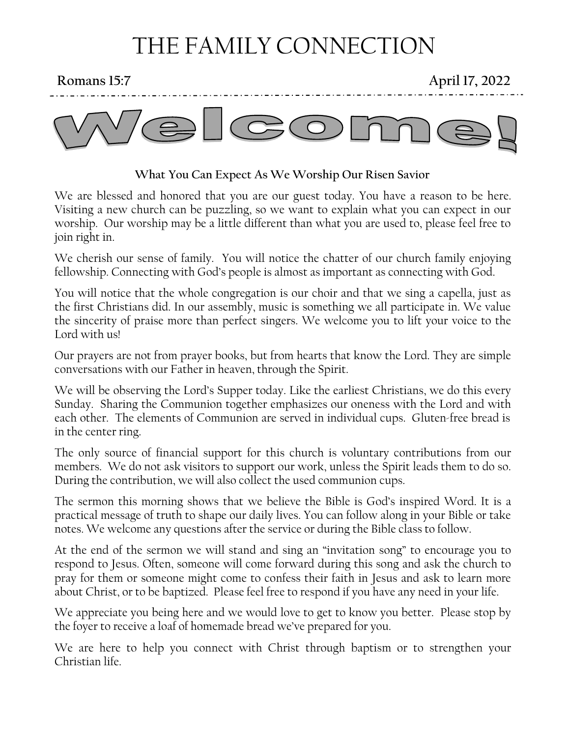# THE FAMILY CONNECTION

**Romans 15:7 April 17, 2022**



### **What You Can Expect As We Worship Our Risen Savior**

We are blessed and honored that you are our guest today. You have a reason to be here. Visiting a new church can be puzzling, so we want to explain what you can expect in our worship. Our worship may be a little different than what you are used to, please feel free to join right in.

We cherish our sense of family. You will notice the chatter of our church family enjoying fellowship. Connecting with God's people is almost as important as connecting with God.

You will notice that the whole congregation is our choir and that we sing a capella, just as the first Christians did. In our assembly, music is something we all participate in. We value the sincerity of praise more than perfect singers. We welcome you to lift your voice to the Lord with us!

Our prayers are not from prayer books, but from hearts that know the Lord. They are simple conversations with our Father in heaven, through the Spirit.

We will be observing the Lord's Supper today. Like the earliest Christians, we do this every Sunday. Sharing the Communion together emphasizes our oneness with the Lord and with each other. The elements of Communion are served in individual cups. Gluten-free bread is in the center ring.

The only source of financial support for this church is voluntary contributions from our members. We do not ask visitors to support our work, unless the Spirit leads them to do so. During the contribution, we will also collect the used communion cups.

The sermon this morning shows that we believe the Bible is God's inspired Word. It is a practical message of truth to shape our daily lives. You can follow along in your Bible or take notes. We welcome any questions after the service or during the Bible class to follow.

At the end of the sermon we will stand and sing an "invitation song" to encourage you to respond to Jesus. Often, someone will come forward during this song and ask the church to pray for them or someone might come to confess their faith in Jesus and ask to learn more about Christ, or to be baptized. Please feel free to respond if you have any need in your life.

We appreciate you being here and we would love to get to know you better. Please stop by the foyer to receive a loaf of homemade bread we've prepared for you.

We are here to help you connect with Christ through baptism or to strengthen your Christian life.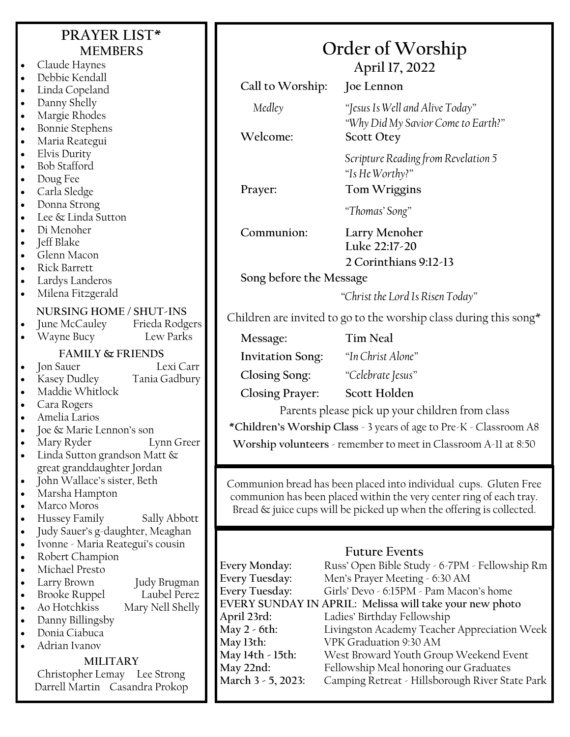| PRAYER LIST*<br><b>MEMBERS</b><br>Claude Haynes<br>$\bullet$<br>Debbie Kendall<br>$\bullet$ |                                                                                   | Order of Worship<br>April 17, 2022<br>Call to Worship:<br>Joe Lennon |                                                                                                                                          |  |
|---------------------------------------------------------------------------------------------|-----------------------------------------------------------------------------------|----------------------------------------------------------------------|------------------------------------------------------------------------------------------------------------------------------------------|--|
| $\bullet$<br>$\bullet$<br>$\bullet$                                                         | Linda Copeland<br>Danny Shelly<br>Margie Rhodes                                   | Medley                                                               | "Jesus Is Well and Alive Today"                                                                                                          |  |
| $\bullet$<br>$\bullet$                                                                      | <b>Bonnie Stephens</b><br>Maria Reategui                                          | Welcome:                                                             | "Why Did My Savior Come to Earth?"<br><b>Scott Otey</b>                                                                                  |  |
| $\bullet$<br>$\bullet$<br>$\bullet$<br>$\bullet$                                            | Elvis Durity<br><b>Bob Stafford</b><br>Doug Fee<br>Carla Sledge                   | Prayer:                                                              | Scripture Reading from Revelation 5<br>"Is He Worthy?"<br>Tom Wriggins                                                                   |  |
| $\bullet$<br>$\bullet$                                                                      | Donna Strong<br>Lee & Linda Sutton                                                |                                                                      | "Thomas' Song"                                                                                                                           |  |
| $\bullet$<br>$\bullet$                                                                      | Di Menoher<br>Jeff Blake<br>Glenn Macon                                           | Communion:                                                           | Larry Menoher<br>Luke 22:17-20<br>2 Corinthians 9:12-13                                                                                  |  |
|                                                                                             | <b>Rick Barrett</b><br>Lardys Landeros                                            |                                                                      | Song before the Message                                                                                                                  |  |
| $\bullet$                                                                                   | Milena Fitzgerald                                                                 |                                                                      | "Christ the Lord Is Risen Today"                                                                                                         |  |
|                                                                                             | NURSING HOME / SHUT-INS<br>June McCauley<br>Frieda Rodgers                        | Children are invited to go to the worship class during this song*    |                                                                                                                                          |  |
| $\bullet$                                                                                   | Lew Parks<br>Wayne Bucy                                                           | Message:                                                             | <b>Tim Neal</b>                                                                                                                          |  |
|                                                                                             | <b>FAMILY &amp; FRIENDS</b><br>Lexi Carr                                          | <b>Invitation Song:</b>                                              | "In Christ Alone"                                                                                                                        |  |
| $\bullet$                                                                                   | Jon Sauer<br>Kasey Dudley<br>Tania Gadbury                                        | Closing Song:                                                        | "Celebrate Jesus"                                                                                                                        |  |
| $\bullet$                                                                                   | Maddie Whitlock                                                                   | <b>Closing Prayer:</b>                                               | Scott Holden                                                                                                                             |  |
|                                                                                             | Cara Rogers<br>Amelia Larios                                                      |                                                                      | Parents please pick up your children from class                                                                                          |  |
|                                                                                             | Joe & Marie Lennon's son                                                          | *Children's Worship Class - 3 years of age to Pre-K - Classroom A8   |                                                                                                                                          |  |
|                                                                                             | Lynn Greer<br>Mary Ryder<br>Linda Sutton grandson Matt &                          | Worship volunteers - remember to meet in Classroom A-11 at 8:50      |                                                                                                                                          |  |
|                                                                                             | great granddaughter Jordan                                                        |                                                                      |                                                                                                                                          |  |
| $\bullet$<br>$\bullet$                                                                      | John Wallace's sister, Beth<br>Marsha Hampton                                     |                                                                      | Communion bread has been placed into individual cups. Gluten Free<br>communion has been placed within the very center ring of each tray. |  |
| $\bullet$                                                                                   | Marco Moros                                                                       |                                                                      | Bread & juice cups will be picked up when the offering is collected.                                                                     |  |
| $\bullet$                                                                                   | Hussey Family<br>Sally Abbott<br>Judy Sauer's g-daughter, Meaghan                 |                                                                      |                                                                                                                                          |  |
| $\bullet$                                                                                   | Ivonne - Maria Reategui's cousin                                                  |                                                                      |                                                                                                                                          |  |
| $\bullet$                                                                                   | Robert Champion<br>Michael Presto                                                 | Every Monday:                                                        | <b>Future Events</b><br>Russ' Open Bible Study - 6-7PM - Fellowship Rm                                                                   |  |
| ٠                                                                                           | Judy Brugman<br>Larry Brown                                                       | Every Tuesday:                                                       | Men's Prayer Meeting - 6:30 AM                                                                                                           |  |
| $\bullet$                                                                                   | Laubel Perez<br><b>Brooke Ruppel</b>                                              | Every Tuesday:                                                       | Girls' Devo - 6:15PM - Pam Macon's home<br>EVERY SUNDAY IN APRIL: Melissa will take your new photo                                       |  |
| $\bullet$<br>$\bullet$                                                                      | Mary Nell Shelly<br>Ao Hotchkiss<br>Danny Billingsby                              | April 23rd:                                                          | Ladies' Birthday Fellowship                                                                                                              |  |
|                                                                                             | Donia Ciabuca                                                                     | May 2 - 6th:                                                         | Livingston Academy Teacher Appreciation Week                                                                                             |  |
|                                                                                             | Adrian Ivanov                                                                     | May 13th:<br>May 14th - 15th:                                        | VPK Graduation 9:30 AM<br>West Broward Youth Group Weekend Event                                                                         |  |
|                                                                                             | <b>MILITARY</b><br>Christopher Lemay Lee Strong<br>Darrell Martin Casandra Prokop | May 22nd:<br>March 3 - 5, 2023:                                      | Fellowship Meal honoring our Graduates<br>Camping Retreat - Hillsborough River State Park                                                |  |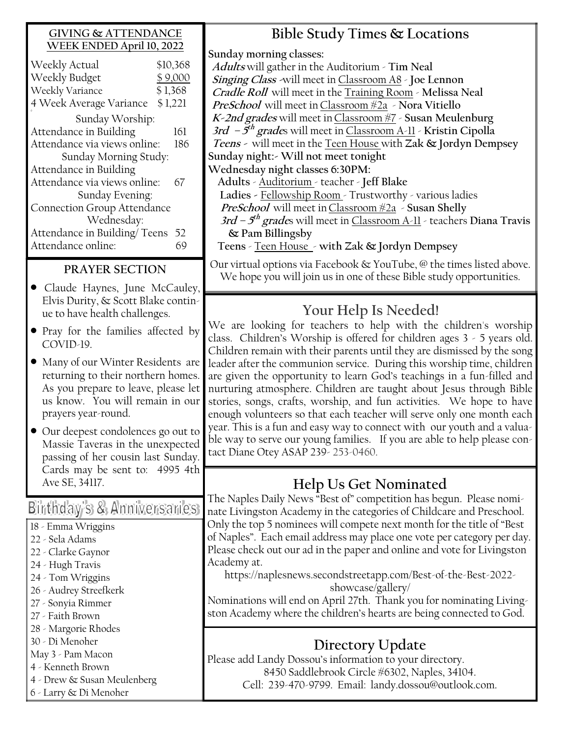### **GIVING & ATTENDANCE WEEK ENDED April 10, 2022**

| Weekly Actual                      |  | \$10,368 |  |  |
|------------------------------------|--|----------|--|--|
| Weekly Budget                      |  | \$9,000  |  |  |
| Weekly Variance<br>\$1,368         |  |          |  |  |
| 4 Week Average Variance<br>\$1,221 |  |          |  |  |
| Sunday Worship:                    |  |          |  |  |
| Attendance in Building             |  | 161      |  |  |
| Attendance via views online:       |  |          |  |  |
| Sunday Morning Study:              |  |          |  |  |
| Attendance in Building             |  |          |  |  |
| Attendance via views online:       |  |          |  |  |
| Sunday Evening:                    |  |          |  |  |
| Connection Group Attendance        |  |          |  |  |
| Wednesday:                         |  |          |  |  |
| Attendance in Building/Teens       |  | 52       |  |  |
| Attendance online:                 |  |          |  |  |
|                                    |  |          |  |  |

### **PRAYER SECTION**

- Claude Haynes, June McCauley, Elvis Durity, & Scott Blake continue to have health challenges.
- Pray for the families affected by COVID-19.
- Many of our Winter Residents are returning to their northern homes. As you prepare to leave, please let us know. You will remain in our prayers year-round.
- Our deepest condolences go out to Massie Taveras in the unexpected passing of her cousin last Sunday. Cards may be sent to: 4995 4th Ave SE, 34117.

## Birthday's & Anniversaries

- 18 Emma Wriggins
- 22 Sela Adams
- 22 Clarke Gaynor
- 24 Hugh Travis
- 24 Tom Wriggins
- 26 Audrey Streefkerk
- 27 Sonyia Rimmer
- 27 Faith Brown
- 28 Margorie Rhodes
- 30 Di Menoher
- May 3 Pam Macon
- 4 Kenneth Brown
- 4 Drew & Susan Meulenberg
- 6 Larry & Di Menoher

## **Bible Study Times & Locations**

**Sunday morning classes:**

**Adults** will gather in the Auditorium - **Tim Neal Singing Class -**will meet in Classroom A8 - **Joe Lennon Cradle Roll** will meet in the Training Room - **Melissa Neal PreSchool** will meet inClassroom #2a - **Nora Vitiello K-2nd grades** will meet inClassroom #7 - **Susan Meulenburg 3rd – 5 th grade**s will meet in Classroom A-11 - **Kristin Cipolla Teens -** will meet in the Teen House with **Zak & Jordyn Dempsey Sunday night:- Will not meet tonight Wednesday night classes 6:30PM: Adults** - Auditorium - teacher - **Jeff Blake Ladies -** Fellowship Room - Trustworthy - various ladies **PreSchool** will meet inClassroom #2a - **Susan Shelly 3rd – 5 th grade**s will meet in Classroom A-11 - teachers **Diana Travis & Pam Billingsby** 

**Teens** - Teen House - **with Zak & Jordyn Dempsey**

Our virtual options via Facebook & YouTube, @ the times listed above. We hope you will join us in one of these Bible study opportunities.

## **Your Help Is Needed!**

We are looking for teachers to help with the children's worship class. Children's Worship is offered for children ages 3 - 5 years old. Children remain with their parents until they are dismissed by the song leader after the communion service. During this worship time, children are given the opportunity to learn God's teachings in a fun-filled and nurturing atmosphere. Children are taught about Jesus through Bible stories, songs, crafts, worship, and fun activities. We hope to have enough volunteers so that each teacher will serve only one month each year. This is a fun and easy way to connect with our youth and a valuable way to serve our young families. If you are able to help please contact Diane Otey ASAP 239- 253-0460.

## **Help Us Get Nominated**

The Naples Daily News "Best of" competition has begun. Please nominate Livingston Academy in the categories of Childcare and Preschool. Only the top 5 nominees will compete next month for the title of "Best of Naples". Each email address may place one vote per category per day. Please check out our ad in the paper and online and vote for Livingston Academy at.

https://naplesnews.secondstreetapp.com/Best-of-the-Best-2022 showcase/gallery/

Nominations will end on April 27th. Thank you for nominating Livingston Academy where the children's hearts are being connected to God.

## **Directory Update**

Please add Landy Dossou's information to your directory. 8450 Saddlebrook Circle #6302, Naples, 34104. Cell: 239-470-9799. Email: landy.dossou@outlook.com.